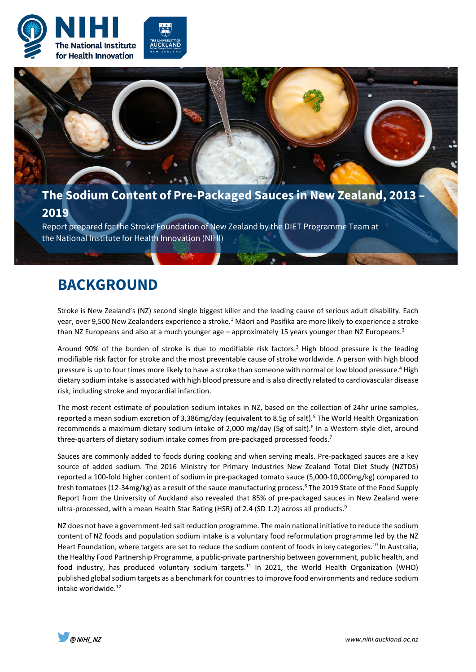



the National Institute for Health Innovation (NIHI)

## **BACKGROUND**

Stroke is New Zealand's (NZ) second single biggest killer and the leading cause of serious adult disability. Each year, over 9,500 New Zealanders experience a stroke.<sup>1</sup> Māori and Pasifika are more likely to experience a stroke than NZ Europeans and also at a much younger age  $-$  approximately 15 years younger than NZ Europeans.<sup>2</sup>

Around 90% of the burden of stroke is due to modifiable risk factors.<sup>3</sup> High blood pressure is the leading modifiable risk factor for stroke and the most preventable cause of stroke worldwide. A person with high blood pressure is up to four times more likely to have a stroke than someone with normal or low blood pressure.<sup>4</sup> High dietary sodium intake is associated with high blood pressure and is also directly related to cardiovascular disease risk, including stroke and myocardial infarction.

The most recent estimate of population sodium intakes in NZ, based on the collection of 24hr urine samples, reported a mean sodium excretion of 3,386mg/day (equivalent to 8.5g of salt).<sup>5</sup> The World Health Organization recommends a maximum dietary sodium intake of 2,000 mg/day (5g of salt).<sup>6</sup> In a Western-style diet, around three-quarters of dietary sodium intake comes from pre-packaged processed foods.<sup>7</sup>

Sauces are commonly added to foods during cooking and when serving meals. Pre-packaged sauces are a key source of added sodium. The 2016 Ministry for Primary Industries New Zealand Total Diet Study (NZTDS) reported a 100-fold higher content of sodium in pre-packaged tomato sauce (5,000-10,000mg/kg) compared to fresh tomatoes (12-34mg/kg) as a result of the sauce manufacturing process.<sup>8</sup> The 2019 State of the Food Supply Report from the University of Auckland also revealed that 85% of pre-packaged sauces in New Zealand were ultra-processed, with a mean Health Star Rating (HSR) of 2.4 (SD 1.2) across all products.<sup>9</sup>

NZ does not have a government-led salt reduction programme. The main national initiative to reduce the sodium content of NZ foods and population sodium intake is a voluntary food reformulation programme led by the NZ Heart Foundation, where targets are set to reduce the sodium content of foods in key categories.<sup>10</sup> In Australia, the Healthy Food Partnership Programme, a public-private partnership between government, public health, and food industry, has produced voluntary sodium targets.<sup>11</sup> In 2021, the World Health Organization (WHO) published global sodium targets as a benchmark for countries to improve food environments and reduce sodium intake worldwide.<sup>12</sup>

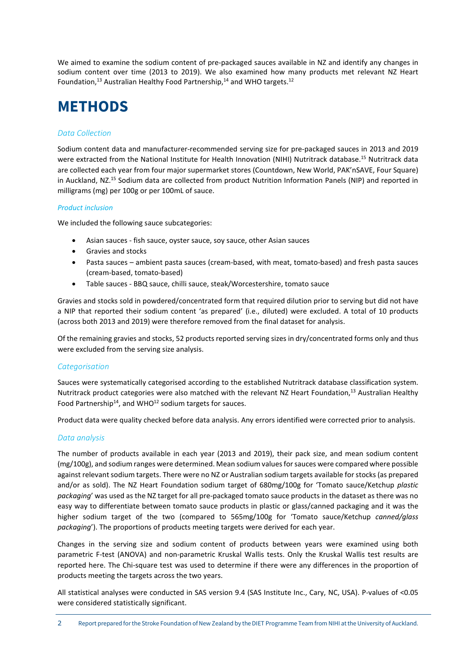We aimed to examine the sodium content of pre-packaged sauces available in NZ and identify any changes in sodium content over time (2013 to 2019). We also examined how many products met relevant NZ Heart Foundation,<sup>13</sup> Australian Healthy Food Partnership,<sup>14</sup> and WHO targets.<sup>12</sup>

# **METHODS**

#### *Data Collection*

Sodium content data and manufacturer-recommended serving size for pre-packaged sauces in 2013 and 2019 were extracted from the National Institute for Health Innovation (NIHI) Nutritrack database.<sup>15</sup> Nutritrack data are collected each year from four major supermarket stores (Countdown, New World, PAK'nSAVE, Four Square) in Auckland, NZ.15 Sodium data are collected from product Nutrition Information Panels (NIP) and reported in milligrams (mg) per 100g or per 100mL of sauce.

#### *Product inclusion*

We included the following sauce subcategories:

- Asian sauces fish sauce, oyster sauce, soy sauce, other Asian sauces
- Gravies and stocks
- Pasta sauces ambient pasta sauces (cream-based, with meat, tomato-based) and fresh pasta sauces (cream-based, tomato-based)
- Table sauces BBQ sauce, chilli sauce, steak/Worcestershire, tomato sauce

Gravies and stocks sold in powdered/concentrated form that required dilution prior to serving but did not have a NIP that reported their sodium content 'as prepared' (i.e., diluted) were excluded. A total of 10 products (across both 2013 and 2019) were therefore removed from the final dataset for analysis.

Of the remaining gravies and stocks, 52 products reported serving sizes in dry/concentrated forms only and thus were excluded from the serving size analysis.

#### *Categorisation*

Sauces were systematically categorised according to the established Nutritrack database classification system. Nutritrack product categories were also matched with the relevant NZ Heart Foundation,<sup>13</sup> Australian Healthy Food Partnership<sup>14</sup>, and WHO<sup>12</sup> sodium targets for sauces.

Product data were quality checked before data analysis. Any errors identified were corrected prior to analysis.

#### *Data analysis*

The number of products available in each year (2013 and 2019), their pack size, and mean sodium content (mg/100g), and sodium ranges were determined. Mean sodium values for sauces were compared where possible against relevant sodium targets. There were no NZ or Australian sodium targets available for stocks (as prepared and/or as sold). The NZ Heart Foundation sodium target of 680mg/100g for 'Tomato sauce/Ketchup *plastic packaging*' was used as the NZ target for all pre-packaged tomato sauce products in the dataset as there was no easy way to differentiate between tomato sauce products in plastic or glass/canned packaging and it was the higher sodium target of the two (compared to 565mg/100g for 'Tomato sauce/Ketchup *canned/glass packaging*'). The proportions of products meeting targets were derived for each year.

Changes in the serving size and sodium content of products between years were examined using both parametric F-test (ANOVA) and non-parametric Kruskal Wallis tests. Only the Kruskal Wallis test results are reported here. The Chi-square test was used to determine if there were any differences in the proportion of products meeting the targets across the two years.

All statistical analyses were conducted in SAS version 9.4 (SAS Institute Inc., Cary, NC, USA). P-values of <0.05 were considered statistically significant.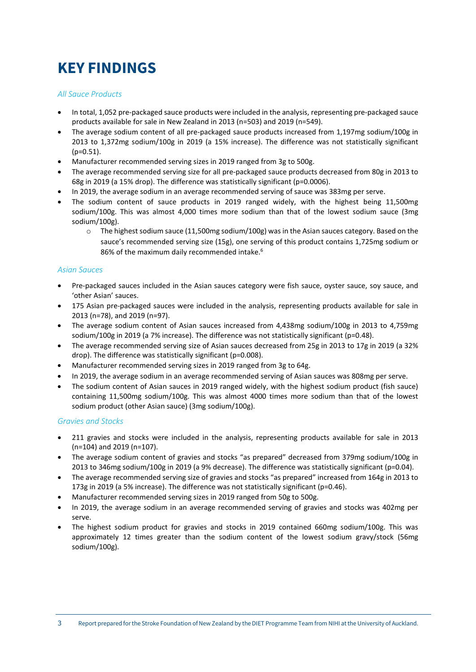# **KEY FINDINGS**

#### *All Sauce Products*

- In total, 1,052 pre-packaged sauce products were included in the analysis, representing pre-packaged sauce products available for sale in New Zealand in 2013 (n=503) and 2019 (n=549).
- The average sodium content of all pre-packaged sauce products increased from 1,197mg sodium/100g in 2013 to 1,372mg sodium/100g in 2019 (a 15% increase). The difference was not statistically significant (p=0.51).
- Manufacturer recommended serving sizes in 2019 ranged from 3g to 500g.
- The average recommended serving size for all pre-packaged sauce products decreased from 80g in 2013 to 68g in 2019 (a 15% drop). The difference was statistically significant (p=0.0006).
- In 2019, the average sodium in an average recommended serving of sauce was 383mg per serve.
- The sodium content of sauce products in 2019 ranged widely, with the highest being 11,500mg sodium/100g. This was almost 4,000 times more sodium than that of the lowest sodium sauce (3mg sodium/100g).
	- o The highest sodium sauce (11,500mg sodium/100g) was in the Asian sauces category. Based on the sauce's recommended serving size (15g), one serving of this product contains 1,725mg sodium or 86% of the maximum daily recommended intake.<sup>6</sup>

#### *Asian Sauces*

- Pre-packaged sauces included in the Asian sauces category were fish sauce, oyster sauce, soy sauce, and 'other Asian' sauces.
- 175 Asian pre-packaged sauces were included in the analysis, representing products available for sale in 2013 (n=78), and 2019 (n=97).
- The average sodium content of Asian sauces increased from 4,438mg sodium/100g in 2013 to 4,759mg sodium/100g in 2019 (a 7% increase). The difference was not statistically significant (p=0.48).
- The average recommended serving size of Asian sauces decreased from 25g in 2013 to 17g in 2019 (a 32% drop). The difference was statistically significant (p=0.008).
- Manufacturer recommended serving sizes in 2019 ranged from 3g to 64g.
- In 2019, the average sodium in an average recommended serving of Asian sauces was 808mg per serve.
- The sodium content of Asian sauces in 2019 ranged widely, with the highest sodium product (fish sauce) containing 11,500mg sodium/100g. This was almost 4000 times more sodium than that of the lowest sodium product (other Asian sauce) (3mg sodium/100g).

#### *Gravies and Stocks*

- 211 gravies and stocks were included in the analysis, representing products available for sale in 2013 (n=104) and 2019 (n=107).
- The average sodium content of gravies and stocks "as prepared" decreased from 379mg sodium/100g in 2013 to 346mg sodium/100g in 2019 (a 9% decrease). The difference was statistically significant (p=0.04).
- The average recommended serving size of gravies and stocks "as prepared" increased from 164g in 2013 to 173g in 2019 (a 5% increase). The difference was not statistically significant (p=0.46).
- Manufacturer recommended serving sizes in 2019 ranged from 50g to 500g.
- In 2019, the average sodium in an average recommended serving of gravies and stocks was 402mg per serve.
- The highest sodium product for gravies and stocks in 2019 contained 660mg sodium/100g. This was approximately 12 times greater than the sodium content of the lowest sodium gravy/stock (56mg sodium/100g).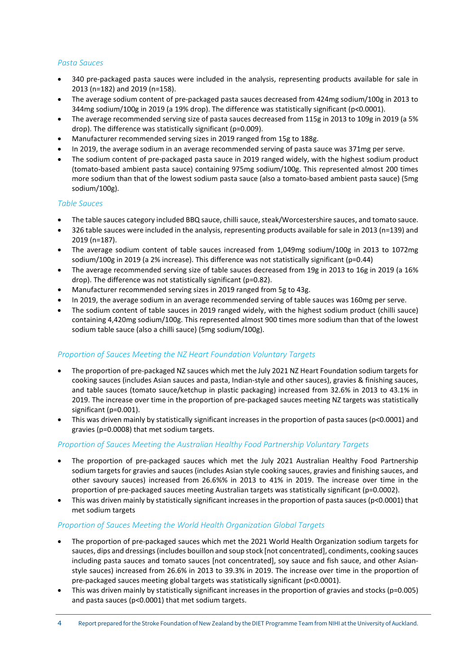#### *Pasta Sauces*

- 340 pre-packaged pasta sauces were included in the analysis, representing products available for sale in 2013 (n=182) and 2019 (n=158).
- The average sodium content of pre-packaged pasta sauces decreased from 424mg sodium/100g in 2013 to 344mg sodium/100g in 2019 (a 19% drop). The difference was statistically significant (p<0.0001).
- The average recommended serving size of pasta sauces decreased from 115g in 2013 to 109g in 2019 (a 5% drop). The difference was statistically significant (p=0.009).
- Manufacturer recommended serving sizes in 2019 ranged from 15g to 188g.
- In 2019, the average sodium in an average recommended serving of pasta sauce was 371mg per serve.
- The sodium content of pre-packaged pasta sauce in 2019 ranged widely, with the highest sodium product (tomato-based ambient pasta sauce) containing 975mg sodium/100g. This represented almost 200 times more sodium than that of the lowest sodium pasta sauce (also a tomato-based ambient pasta sauce) (5mg sodium/100g).

#### *Table Sauces*

- The table sauces category included BBQ sauce, chilli sauce, steak/Worcestershire sauces, and tomato sauce.
- 326 table sauces were included in the analysis, representing products available for sale in 2013 (n=139) and 2019 (n=187).
- The average sodium content of table sauces increased from 1,049mg sodium/100g in 2013 to 1072mg sodium/100g in 2019 (a 2% increase). This difference was not statistically significant (p=0.44)
- The average recommended serving size of table sauces decreased from 19g in 2013 to 16g in 2019 (a 16% drop). The difference was not statistically significant (p=0.82).
- Manufacturer recommended serving sizes in 2019 ranged from 5g to 43g.
- In 2019, the average sodium in an average recommended serving of table sauces was 160mg per serve.
- The sodium content of table sauces in 2019 ranged widely, with the highest sodium product (chilli sauce) containing 4,420mg sodium/100g. This represented almost 900 times more sodium than that of the lowest sodium table sauce (also a chilli sauce) (5mg sodium/100g).

#### *Proportion of Sauces Meeting the NZ Heart Foundation Voluntary Targets*

- The proportion of pre-packaged NZ sauces which met the July 2021 NZ Heart Foundation sodium targets for cooking sauces (includes Asian sauces and pasta, Indian-style and other sauces), gravies & finishing sauces, and table sauces (tomato sauce/ketchup in plastic packaging) increased from 32.6% in 2013 to 43.1% in 2019. The increase over time in the proportion of pre-packaged sauces meeting NZ targets was statistically significant (p=0.001).
- This was driven mainly by statistically significant increases in the proportion of pasta sauces ( $p$ <0.0001) and gravies (p=0.0008) that met sodium targets.

#### *Proportion of Sauces Meeting the Australian Healthy Food Partnership Voluntary Targets*

- The proportion of pre-packaged sauces which met the July 2021 Australian Healthy Food Partnership sodium targets for gravies and sauces (includes Asian style cooking sauces, gravies and finishing sauces, and other savoury sauces) increased from 26.6%% in 2013 to 41% in 2019. The increase over time in the proportion of pre-packaged sauces meeting Australian targets was statistically significant (p=0.0002).
- This was driven mainly by statistically significant increases in the proportion of pasta sauces (p<0.0001) that met sodium targets

#### *Proportion of Sauces Meeting the World Health Organization Global Targets*

- The proportion of pre-packaged sauces which met the 2021 World Health Organization sodium targets for sauces, dips and dressings (includes bouillon and soup stock [not concentrated], condiments, cooking sauces including pasta sauces and tomato sauces [not concentrated], soy sauce and fish sauce, and other Asianstyle sauces) increased from 26.6% in 2013 to 39.3% in 2019. The increase over time in the proportion of pre-packaged sauces meeting global targets was statistically significant (p<0.0001).
- This was driven mainly by statistically significant increases in the proportion of gravies and stocks ( $p=0.005$ ) and pasta sauces (p<0.0001) that met sodium targets.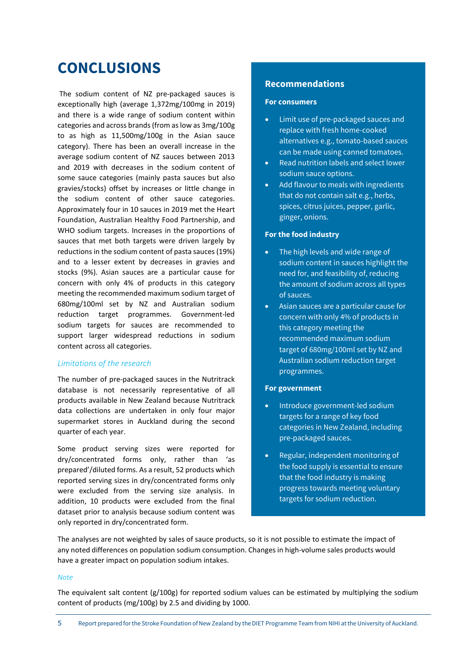## **CONCLUSIONS**

The sodium content of NZ pre-packaged sauces is exceptionally high (average 1,372mg/100mg in 2019) and there is a wide range of sodium content within categories and across brands (from as low as 3mg/100g to as high as 11,500mg/100g in the Asian sauce category). There has been an overall increase in the average sodium content of NZ sauces between 2013 and 2019 with decreases in the sodium content of some sauce categories (mainly pasta sauces but also gravies/stocks) offset by increases or little change in the sodium content of other sauce categories. Approximately four in 10 sauces in 2019 met the Heart Foundation, Australian Healthy Food Partnership, and WHO sodium targets. Increases in the proportions of sauces that met both targets were driven largely by reductions in the sodium content of pasta sauces (19%) and to a lesser extent by decreases in gravies and stocks (9%). Asian sauces are a particular cause for concern with only 4% of products in this category meeting the recommended maximum sodium target of 680mg/100ml set by NZ and Australian sodium reduction target programmes. Government-led sodium targets for sauces are recommended to support larger widespread reductions in sodium content across all categories.

#### *Limitations of the research*

The number of pre-packaged sauces in the Nutritrack database is not necessarily representative of all products available in New Zealand because Nutritrack data collections are undertaken in only four major supermarket stores in Auckland during the second quarter of each year.

Some product serving sizes were reported for dry/concentrated forms only, rather than 'as prepared'/diluted forms. As a result, 52 products which reported serving sizes in dry/concentrated forms only were excluded from the serving size analysis. In addition, 10 products were excluded from the final dataset prior to analysis because sodium content was only reported in dry/concentrated form.

### **Recommendations**

#### **For consumers**

- Limit use of pre-packaged sauces and replace with fresh home-cooked alternatives e.g., tomato-based sauces can be made using canned tomatoes.
- Read nutrition labels and select lower sodium sauce options.
- Add flavour to meals with ingredients that do not contain salt e.g., herbs, spices, citrus juices, pepper, garlic, ginger, onions.

#### **For the food industry**

- The high levels and wide range of sodium content in sauces highlight the need for, and feasibility of, reducing the amount of sodium across all types of sauces.
- Asian sauces are a particular cause for concern with only 4% of products in this category meeting the recommended maximum sodium target of 680mg/100ml set by NZ and Australian sodium reduction target programmes.

#### **For government**

- Introduce government-led sodium targets for a range of key food categories in New Zealand, including pre-packaged sauces.
- Regular, independent monitoring of the food supply is essential to ensure that the food industry is making progress towards meeting voluntary targets for sodium reduction.

The analyses are not weighted by sales of sauce products, so it is not possible to estimate the impact of any noted differences on population sodium consumption. Changes in high-volume sales products would have a greater impact on population sodium intakes.

#### *Note*

The equivalent salt content (g/100g) for reported sodium values can be estimated by multiplying the sodium content of products (mg/100g) by 2.5 and dividing by 1000.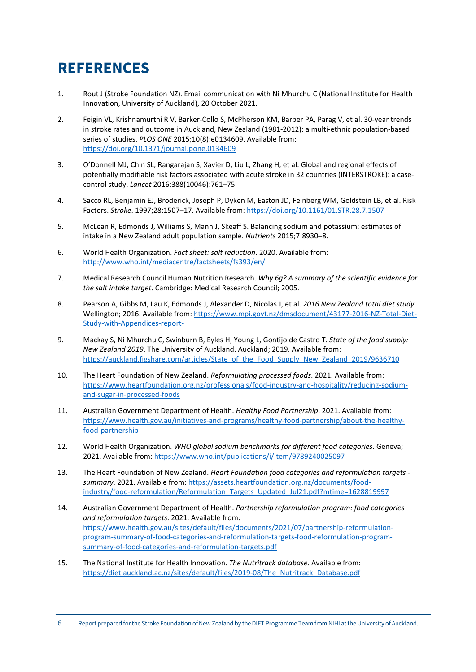## **REFERENCES**

- 1. Rout J (Stroke Foundation NZ). Email communication with Ni Mhurchu C (National Institute for Health Innovation, University of Auckland), 20 October 2021.
- 2. Feigin VL, Krishnamurthi R V, Barker-Collo S, McPherson KM, Barber PA, Parag V, et al. 30-year trends in stroke rates and outcome in Auckland, New Zealand (1981-2012): a multi-ethnic population-based series of studies. *PLOS ONE* 2015;10(8):e0134609. Available from: <https://doi.org/10.1371/journal.pone.0134609>
- 3. O'Donnell MJ, Chin SL, Rangarajan S, Xavier D, Liu L, Zhang H, et al. Global and regional effects of potentially modifiable risk factors associated with acute stroke in 32 countries (INTERSTROKE): a casecontrol study. *Lancet* 2016;388(10046):761–75.
- 4. Sacco RL, Benjamin EJ, Broderick, Joseph P, Dyken M, Easton JD, Feinberg WM, Goldstein LB, et al. Risk Factors. *Stroke*. 1997;28:1507–17. Available from:<https://doi.org/10.1161/01.STR.28.7.1507>
- 5. McLean R, Edmonds J, Williams S, Mann J, Skeaff S. Balancing sodium and potassium: estimates of intake in a New Zealand adult population sample. *Nutrients* 2015;7:8930–8.
- 6. World Health Organization. *Fact sheet: salt reduction*. 2020. Available from: <http://www.who.int/mediacentre/factsheets/fs393/en/>
- 7. Medical Research Council Human Nutrition Research. *Why 6g? A summary of the scientific evidence for the salt intake target*. Cambridge: Medical Research Council; 2005.
- 8. Pearson A, Gibbs M, Lau K, Edmonds J, Alexander D, Nicolas J, et al. *2016 New Zealand total diet study*. Wellington; 2016. Available from[: https://www.mpi.govt.nz/dmsdocument/43177](https://www.mpi.govt.nz/dmsdocument/43177-2016-NZ-Total-Diet-Study-with-Appendices-report-)-2016-NZ-Total-Diet-[Study-with-Appendices-report-](https://www.mpi.govt.nz/dmsdocument/43177-2016-NZ-Total-Diet-Study-with-Appendices-report-)
- 9. Mackay S, Ni Mhurchu C, Swinburn B, Eyles H, Young L, Gontijo de Castro T. *State of the food supply: New Zealand 2019*. The University of Auckland. Auckland; 2019. Available from: [https://auckland.figshare.com/articles/State\\_of\\_the\\_Food\\_Supply\\_New\\_Zealand\\_2019/9636710](https://auckland.figshare.com/articles/State_of_the_Food_Supply_New_Zealand_2019/9636710)
- 10. The Heart Foundation of New Zealand. *Reformulating processed foods*. 2021. Available from: [https://www.heartfoundation.org.nz/professionals/food](https://www.heartfoundation.org.nz/professionals/food-industry-and-hospitality/reducing-sodium-and-sugar-in-processed-foods)-industry-and-hospitality/reducing-sodium[and-sugar-in-processed-foods](https://www.heartfoundation.org.nz/professionals/food-industry-and-hospitality/reducing-sodium-and-sugar-in-processed-foods)
- 11. Australian Government Department of Health. *Healthy Food Partnership*. 2021. Available from: [https://www.health.gov.au/initiatives](https://www.health.gov.au/initiatives-and-programs/healthy-food-partnership/about-the-healthy-food-partnership)-and-programs/healthy-food-partnership/about-the-healthy[food-partnership](https://www.health.gov.au/initiatives-and-programs/healthy-food-partnership/about-the-healthy-food-partnership)
- 12. World Health Organization. *WHO global sodium benchmarks for different food categories*. Geneva; 2021. Available from:<https://www.who.int/publications/i/item/9789240025097>
- 13. The Heart Foundation of New Zealand. *Heart Foundation food categories and reformulation targets summary*. 2021. Available from[: https://assets.heartfoundation.org.nz/documents/food](https://assets.heartfoundation.org.nz/documents/food-industry/food-reformulation/Reformulation_Targets_Updated_Jul21.pdf?mtime=1628819997)industry/food-[reformulation/Reformulation\\_Targets\\_Updated\\_Jul21.pdf?mtime=1628819997](https://assets.heartfoundation.org.nz/documents/food-industry/food-reformulation/Reformulation_Targets_Updated_Jul21.pdf?mtime=1628819997)
- 14. Australian Government Department of Health. *Partnership reformulation program: food categories and reformulation targets*. 2021. Available from: [https://www.health.gov.au/sites/default/files/documents/2021/07/partnership](https://www.health.gov.au/sites/default/files/documents/2021/07/partnership-reformulation-program-summary-of-food-categories-and-reformulation-targets-food-reformulation-program-summary-of-food-categories-and-reformulation-targets.pdf)-reformulationprogram-summary[-of-food-categories-and-](https://www.health.gov.au/sites/default/files/documents/2021/07/partnership-reformulation-program-summary-of-food-categories-and-reformulation-targets-food-reformulation-program-summary-of-food-categories-and-reformulation-targets.pdf)reformulation-targets-food-reformulation-programsummary[-of-food-categories-and-](https://www.health.gov.au/sites/default/files/documents/2021/07/partnership-reformulation-program-summary-of-food-categories-and-reformulation-targets-food-reformulation-program-summary-of-food-categories-and-reformulation-targets.pdf)reformulation-targets.pdf
- 15. The National Institute for Health Innovation. *The Nutritrack database*. Available from: [https://diet.auckland.ac.nz/sites/default/files/2019](https://diet.auckland.ac.nz/sites/default/files/2019-08/The_Nutritrack_Database.pdf)-08/The\_Nutritrack\_Database.pdf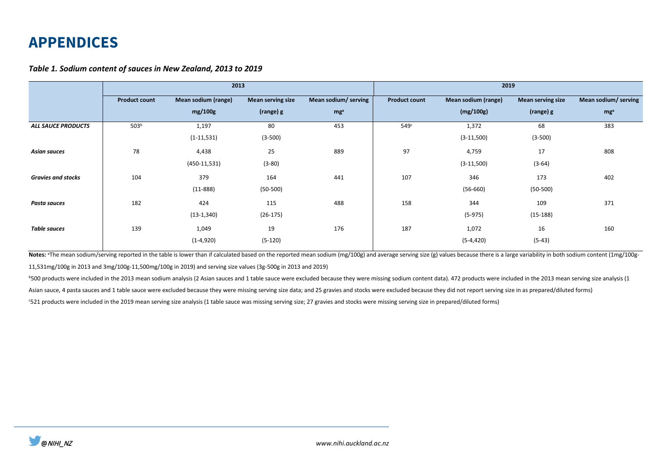### **APPENDICES**

#### *Table 1. Sodium content of sauces in New Zealand, 2013 to 2019*

|                           | 2013                 |                            |                          |                      | 2019                 |                     |                          |                      |  |
|---------------------------|----------------------|----------------------------|--------------------------|----------------------|----------------------|---------------------|--------------------------|----------------------|--|
|                           | <b>Product count</b> | <b>Mean sodium (range)</b> | <b>Mean serving size</b> | Mean sodium/ serving | <b>Product count</b> | Mean sodium (range) | <b>Mean serving size</b> | Mean sodium/ serving |  |
|                           |                      | mg/100g                    | (range) g                | mg <sup>a</sup>      |                      | (mg/100g)           | (range) g                | mg <sup>a</sup>      |  |
| <b>ALL SAUCE PRODUCTS</b> | 503 <sup>b</sup>     | 1,197                      | 80                       | 453                  | 549 <sup>c</sup>     | 1,372               | 68                       | 383                  |  |
|                           |                      | $(1-11,531)$               | $(3-500)$                |                      |                      | $(3-11,500)$        | $(3-500)$                |                      |  |
| <b>Asian sauces</b>       | 78                   | 4,438                      | 25                       | 889                  | 97                   | 4,759               | 17                       | 808                  |  |
|                           |                      | $(450-11,531)$             | $(3-80)$                 |                      |                      | $(3-11,500)$        | $(3-64)$                 |                      |  |
| <b>Gravies and stocks</b> | 104                  | 379                        | 164                      | 441                  | 107                  | 346                 | 173                      | 402                  |  |
|                           |                      | $(11 - 888)$               | $(50-500)$               |                      |                      | $(56-660)$          | $(50-500)$               |                      |  |
| Pasta sauces              | 182                  | 424                        | 115                      | 488                  | 158                  | 344                 | 109                      | 371                  |  |
|                           |                      | $(13-1,340)$               | $(26-175)$               |                      |                      | $(5-975)$           | $(15-188)$               |                      |  |
| <b>Table sauces</b>       | 139                  | 1,049                      | 19                       | 176                  | 187                  | 1,072               | 16                       | 160                  |  |
|                           |                      | $(1-4,920)$                | $(5-120)$                |                      |                      | $(5-4, 420)$        | $(5-43)$                 |                      |  |

Notes: <sup>a</sup>The mean sodium/serving reported in the table is lower than if calculated based on the reported mean sodium (mg/100g) and average serving size (g) values because there is a large variability in both sodium conten 11,531mg/100g in 2013 and 3mg/100g-11,500mg/100g in 2019) and serving size values (3g-500g in 2013 and 2019)

<sup>b</sup>500 products were included in the 2013 mean sodium analysis (2 Asian sauces and 1 table sauce were excluded because they were missing sodium content data). 472 products were included in the 2013 mean serving size analys

Asian sauce, 4 pasta sauces and 1 table sauce were excluded because they were missing serving size data; and 25 gravies and stocks were excluded because they did not report serving size in as prepared/diluted forms)

c 521 products were included in the 2019 mean serving size analysis (1 table sauce was missing serving size; 27 gravies and stocks were missing serving size in prepared/diluted forms)

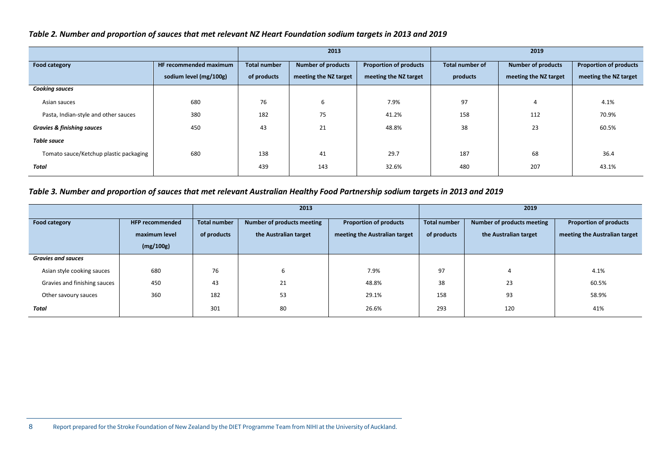#### *Table 2. Number and proportion of sauces that met relevant NZ Heart Foundation sodium targets in 2013 and 2019*

|                                        |                        |                     | 2013                      |                               | 2019                   |                           |                               |
|----------------------------------------|------------------------|---------------------|---------------------------|-------------------------------|------------------------|---------------------------|-------------------------------|
| Food category                          | HF recommended maximum | <b>Total number</b> | <b>Number of products</b> | <b>Proportion of products</b> | <b>Total number of</b> | <b>Number of products</b> | <b>Proportion of products</b> |
|                                        | sodium level (mg/100g) | of products         | meeting the NZ target     | meeting the NZ target         | products               | meeting the NZ target     | meeting the NZ target         |
| <b>Cooking sauces</b>                  |                        |                     |                           |                               |                        |                           |                               |
| Asian sauces                           | 680                    | 76                  | 6                         | 7.9%                          | 97                     | 4                         | 4.1%                          |
| Pasta, Indian-style and other sauces   | 380                    | 182                 | 75                        | 41.2%                         | 158                    | 112                       | 70.9%                         |
| <b>Gravies &amp; finishing sauces</b>  | 450                    | 43                  | 21                        | 48.8%                         | 38                     | 23                        | 60.5%                         |
| <b>Table sauce</b>                     |                        |                     |                           |                               |                        |                           |                               |
| Tomato sauce/Ketchup plastic packaging | 680                    | 138                 | 41                        | 29.7                          | 187                    | 68                        | 36.4                          |
| Total                                  |                        | 439                 | 143                       | 32.6%                         | 480                    | 207                       | 43.1%                         |

### *Table 3. Number and proportion of sauces that met relevant Australian Healthy Food Partnership sodium targets in 2013 and 2019*

|                              |                        |                                                   | 2013                  |                               | 2019                |                            |                               |  |
|------------------------------|------------------------|---------------------------------------------------|-----------------------|-------------------------------|---------------------|----------------------------|-------------------------------|--|
| <b>Food category</b>         | <b>HFP recommended</b> | Number of products meeting<br><b>Total number</b> |                       | <b>Proportion of products</b> | <b>Total number</b> | Number of products meeting | <b>Proportion of products</b> |  |
|                              | maximum level          | of products                                       | the Australian target | meeting the Australian target | of products         | the Australian target      | meeting the Australian target |  |
|                              | (mg/100g)              |                                                   |                       |                               |                     |                            |                               |  |
| <b>Gravies and sauces</b>    |                        |                                                   |                       |                               |                     |                            |                               |  |
| Asian style cooking sauces   | 680                    | 76                                                | b                     | 7.9%                          | 97                  | 4                          | 4.1%                          |  |
| Gravies and finishing sauces | 450                    | 43                                                | 21                    | 48.8%                         | 38                  | 23                         | 60.5%                         |  |
| Other savoury sauces         | 360                    | 182                                               | 53                    | 29.1%                         | 158                 | 93                         | 58.9%                         |  |
| Total                        |                        | 301                                               | 80                    | 26.6%                         | 293                 | 120                        | 41%                           |  |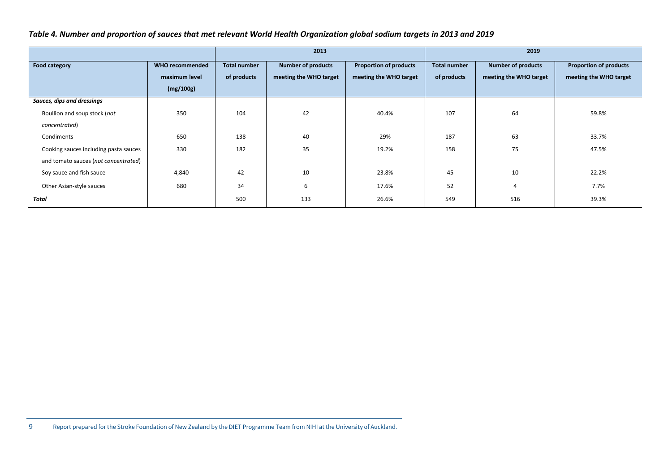#### *Table 4. Number and proportion of sauces that met relevant World Health Organization global sodium targets in 2013 and 2019*

|                                       |                        |              | 2013                      |                               | 2019                |                           |                               |
|---------------------------------------|------------------------|--------------|---------------------------|-------------------------------|---------------------|---------------------------|-------------------------------|
| Food category                         | <b>WHO recommended</b> | Total number | <b>Number of products</b> | <b>Proportion of products</b> | <b>Total number</b> | <b>Number of products</b> | <b>Proportion of products</b> |
|                                       | maximum level          | of products  | meeting the WHO target    | meeting the WHO target        | of products         | meeting the WHO target    | meeting the WHO target        |
|                                       | (mg/100g)              |              |                           |                               |                     |                           |                               |
| Sauces, dips and dressings            |                        |              |                           |                               |                     |                           |                               |
| Boullion and soup stock (not          | 350                    | 104          | 42                        | 40.4%                         | 107                 | 64                        | 59.8%                         |
| concentrated)                         |                        |              |                           |                               |                     |                           |                               |
| Condiments                            | 650                    | 138          | 40                        | 29%                           | 187                 | 63                        | 33.7%                         |
| Cooking sauces including pasta sauces | 330                    | 182          | 35                        | 19.2%                         | 158                 | 75                        | 47.5%                         |
| and tomato sauces (not concentrated)  |                        |              |                           |                               |                     |                           |                               |
| Soy sauce and fish sauce              | 4,840                  | 42           | 10                        | 23.8%                         | 45                  | 10                        | 22.2%                         |
| Other Asian-style sauces              | 680                    | 34           | 6                         | 17.6%                         | 52                  | $\overline{4}$            | 7.7%                          |
| Total                                 |                        | 500          | 133                       | 26.6%                         | 549                 | 516                       | 39.3%                         |

9 Report prepared for the Stroke Foundation of New Zealand by the DIET Programme Team from NIHI at the University of Auckland.